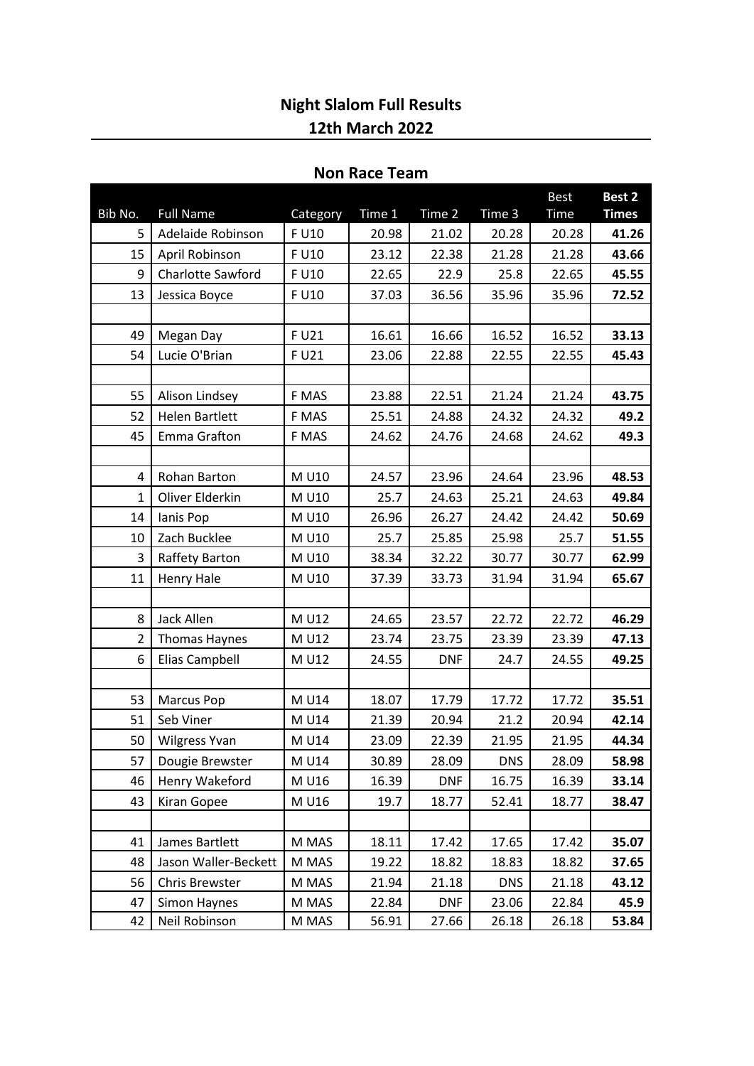## **Night Slalom Full Results 12th March 2022**

## **Non Race Team**

| Bib No.        | <b>Full Name</b>      | Category | Time 1 | Time 2     | Time 3     | <b>Best</b><br>Time | Best 2<br><b>Times</b> |
|----------------|-----------------------|----------|--------|------------|------------|---------------------|------------------------|
| 5              | Adelaide Robinson     | F U10    | 20.98  | 21.02      | 20.28      | 20.28               | 41.26                  |
| 15             | April Robinson        | F U10    | 23.12  | 22.38      | 21.28      | 21.28               | 43.66                  |
| 9              | Charlotte Sawford     | F U10    | 22.65  | 22.9       | 25.8       | 22.65               | 45.55                  |
| 13             | Jessica Boyce         | F U10    | 37.03  | 36.56      | 35.96      | 35.96               | 72.52                  |
|                |                       |          |        |            |            |                     |                        |
| 49             | Megan Day             | F U21    | 16.61  | 16.66      | 16.52      | 16.52               | 33.13                  |
| 54             | Lucie O'Brian         | F U21    | 23.06  | 22.88      | 22.55      | 22.55               | 45.43                  |
|                |                       |          |        |            |            |                     |                        |
| 55             | Alison Lindsey        | F MAS    | 23.88  | 22.51      | 21.24      | 21.24               | 43.75                  |
| 52             | <b>Helen Bartlett</b> | F MAS    | 25.51  | 24.88      | 24.32      | 24.32               | 49.2                   |
| 45             | Emma Grafton          | F MAS    | 24.62  | 24.76      | 24.68      | 24.62               | 49.3                   |
|                |                       |          |        |            |            |                     |                        |
| 4              | <b>Rohan Barton</b>   | M U10    | 24.57  | 23.96      | 24.64      | 23.96               | 48.53                  |
| $\mathbf{1}$   | Oliver Elderkin       | M U10    | 25.7   | 24.63      | 25.21      | 24.63               | 49.84                  |
| 14             | lanis Pop             | M U10    | 26.96  | 26.27      | 24.42      | 24.42               | 50.69                  |
| 10             | Zach Bucklee          | M U10    | 25.7   | 25.85      | 25.98      | 25.7                | 51.55                  |
| 3              | Raffety Barton        | M U10    | 38.34  | 32.22      | 30.77      | 30.77               | 62.99                  |
| 11             | Henry Hale            | M U10    | 37.39  | 33.73      | 31.94      | 31.94               | 65.67                  |
|                |                       |          |        |            |            |                     |                        |
| 8              | Jack Allen            | M U12    | 24.65  | 23.57      | 22.72      | 22.72               | 46.29                  |
| $\overline{2}$ | Thomas Haynes         | M U12    | 23.74  | 23.75      | 23.39      | 23.39               | 47.13                  |
| 6              | Elias Campbell        | M U12    | 24.55  | <b>DNF</b> | 24.7       | 24.55               | 49.25                  |
|                |                       |          |        |            |            |                     |                        |
| 53             | <b>Marcus Pop</b>     | M U14    | 18.07  | 17.79      | 17.72      | 17.72               | 35.51                  |
| 51             | Seb Viner             | M U14    | 21.39  | 20.94      | 21.2       | 20.94               | 42.14                  |
| 50             | <b>Wilgress Yvan</b>  | M U14    | 23.09  | 22.39      | 21.95      | 21.95               | 44.34                  |
| 57             | Dougie Brewster       | M U14    | 30.89  | 28.09      | <b>DNS</b> | 28.09               | 58.98                  |
| 46             | Henry Wakeford        | M U16    | 16.39  | <b>DNF</b> | 16.75      | 16.39               | 33.14                  |
| 43             | Kiran Gopee           | M U16    | 19.7   | 18.77      | 52.41      | 18.77               | 38.47                  |
|                |                       |          |        |            |            |                     |                        |
| 41             | James Bartlett        | M MAS    | 18.11  | 17.42      | 17.65      | 17.42               | 35.07                  |
| 48             | Jason Waller-Beckett  | M MAS    | 19.22  | 18.82      | 18.83      | 18.82               | 37.65                  |
| 56             | Chris Brewster        | M MAS    | 21.94  | 21.18      | <b>DNS</b> | 21.18               | 43.12                  |
| 47             | Simon Haynes          | M MAS    | 22.84  | <b>DNF</b> | 23.06      | 22.84               | 45.9                   |
| 42             | Neil Robinson         | M MAS    | 56.91  | 27.66      | 26.18      | 26.18               | 53.84                  |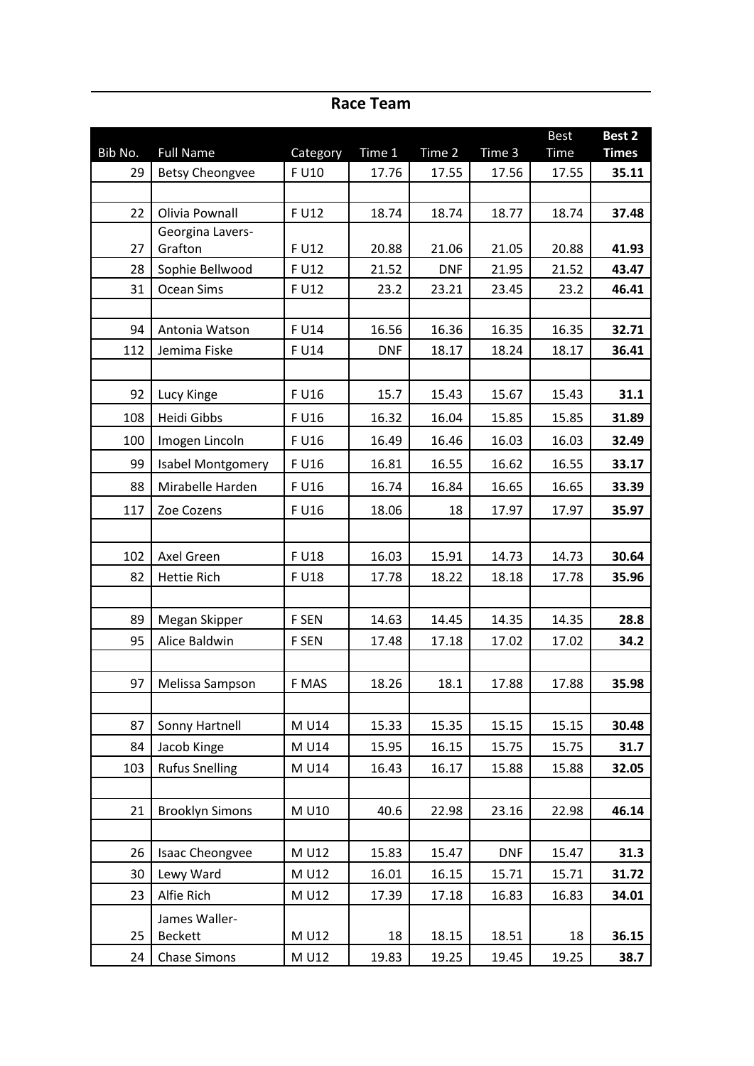| Bib No. | <b>Full Name</b>       | Category | Time 1     | Time 2     | Time 3     | <b>Best</b><br><b>Time</b> | Best 2<br><b>Times</b> |
|---------|------------------------|----------|------------|------------|------------|----------------------------|------------------------|
| 29      | <b>Betsy Cheongvee</b> | F U10    | 17.76      | 17.55      | 17.56      | 17.55                      | 35.11                  |
|         |                        |          |            |            |            |                            |                        |
| 22      | Olivia Pownall         | F U12    | 18.74      | 18.74      | 18.77      | 18.74                      | 37.48                  |
|         | Georgina Lavers-       |          |            |            |            |                            |                        |
| 27      | Grafton                | F U12    | 20.88      | 21.06      | 21.05      | 20.88                      | 41.93                  |
| 28      | Sophie Bellwood        | F U12    | 21.52      | <b>DNF</b> | 21.95      | 21.52                      | 43.47                  |
| 31      | Ocean Sims             | F U12    | 23.2       | 23.21      | 23.45      | 23.2                       | 46.41                  |
|         |                        |          |            |            |            |                            |                        |
| 94      | Antonia Watson         | F U14    | 16.56      | 16.36      | 16.35      | 16.35                      | 32.71                  |
| 112     | Jemima Fiske           | F U14    | <b>DNF</b> | 18.17      | 18.24      | 18.17                      | 36.41                  |
|         |                        |          |            |            |            |                            |                        |
| 92      | Lucy Kinge             | F U16    | 15.7       | 15.43      | 15.67      | 15.43                      | 31.1                   |
| 108     | Heidi Gibbs            | F U16    | 16.32      | 16.04      | 15.85      | 15.85                      | 31.89                  |
| 100     | Imogen Lincoln         | F U16    | 16.49      | 16.46      | 16.03      | 16.03                      | 32.49                  |
| 99      | Isabel Montgomery      | F U16    | 16.81      | 16.55      | 16.62      | 16.55                      | 33.17                  |
| 88      | Mirabelle Harden       | F U16    | 16.74      | 16.84      | 16.65      | 16.65                      | 33.39                  |
| 117     | Zoe Cozens             | F U16    | 18.06      | 18         | 17.97      | 17.97                      | 35.97                  |
|         |                        |          |            |            |            |                            |                        |
| 102     | Axel Green             | F U18    | 16.03      | 15.91      | 14.73      | 14.73                      | 30.64                  |
| 82      | <b>Hettie Rich</b>     | F U18    | 17.78      | 18.22      | 18.18      | 17.78                      | 35.96                  |
|         |                        |          |            |            |            |                            |                        |
| 89      | Megan Skipper          | F SEN    | 14.63      | 14.45      | 14.35      | 14.35                      | 28.8                   |
| 95      | Alice Baldwin          | F SEN    | 17.48      | 17.18      | 17.02      | 17.02                      | 34.2                   |
|         |                        |          |            |            |            |                            |                        |
| 97      | Melissa Sampson        | F MAS    | 18.26      | 18.1       | 17.88      | 17.88                      | 35.98                  |
|         |                        |          |            |            |            |                            |                        |
| 87      | Sonny Hartnell         | M U14    | 15.33      | 15.35      | 15.15      | 15.15                      | 30.48                  |
| 84      | Jacob Kinge            | M U14    | 15.95      | 16.15      | 15.75      | 15.75                      | 31.7                   |
| 103     | <b>Rufus Snelling</b>  | M U14    | 16.43      | 16.17      | 15.88      | 15.88                      | 32.05                  |
|         |                        |          |            |            |            |                            |                        |
| 21      | <b>Brooklyn Simons</b> | M U10    | 40.6       | 22.98      | 23.16      | 22.98                      | 46.14                  |
|         |                        |          |            |            |            |                            |                        |
| 26      | Isaac Cheongvee        | M U12    | 15.83      | 15.47      | <b>DNF</b> | 15.47                      | 31.3                   |
| 30      | Lewy Ward              | M U12    | 16.01      | 16.15      | 15.71      | 15.71                      | 31.72                  |
| 23      | Alfie Rich             | M U12    | 17.39      | 17.18      | 16.83      | 16.83                      | 34.01                  |
|         | James Waller-          |          |            |            |            |                            |                        |
| 25      | <b>Beckett</b>         | M U12    | 18         | 18.15      | 18.51      | 18                         | 36.15                  |
| 24      | <b>Chase Simons</b>    | M U12    | 19.83      | 19.25      | 19.45      | 19.25                      | 38.7                   |

**Race Team**